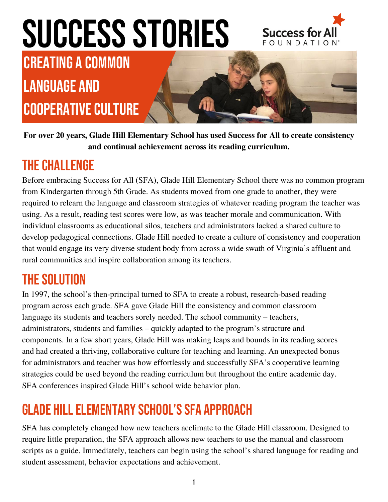## SUCCESS STORIES



Creating a Common Language and COOPERATIVE CULTURE



**For over 20 years, Glade Hill Elementary School has used Success for All to create consistency and continual achievement across its reading curriculum.**

#### **THE CHALLENGE**

Before embracing Success for All (SFA), Glade Hill Elementary School there was no common program from Kindergarten through 5th Grade. As students moved from one grade to another, they were required to relearn the language and classroom strategies of whatever reading program the teacher was using. As a result, reading test scores were low, as was teacher morale and communication. With individual classrooms as educational silos, teachers and administrators lacked a shared culture to develop pedagogical connections. Glade Hill needed to create a culture of consistency and cooperation that would engage its very diverse student body from across a wide swath of Virginia's affluent and rural communities and inspire collaboration among its teachers.

#### **THE SOLUTION**

In 1997, the school's then-principal turned to SFA to create a robust, research-based reading program across each grade. SFA gave Glade Hill the consistency and common classroom language its students and teachers sorely needed. The school community – teachers, administrators, students and families – quickly adapted to the program's structure and components. In a few short years, Glade Hill was making leaps and bounds in its reading scores and had created a thriving, collaborative culture for teaching and learning. An unexpected bonus for administrators and teacher was how effortlessly and successfully SFA's cooperative learning strategies could be used beyond the reading curriculum but throughout the entire academic day. SFA conferences inspired Glade Hill's school wide behavior plan.

### **GLADE HILL ELEMENTARY SCHOOL'S SFA APPROACH**

SFA has completely changed how new teachers acclimate to the Glade Hill classroom. Designed to require little preparation, the SFA approach allows new teachers to use the manual and classroom scripts as a guide. Immediately, teachers can begin using the school's shared language for reading and student assessment, behavior expectations and achievement.